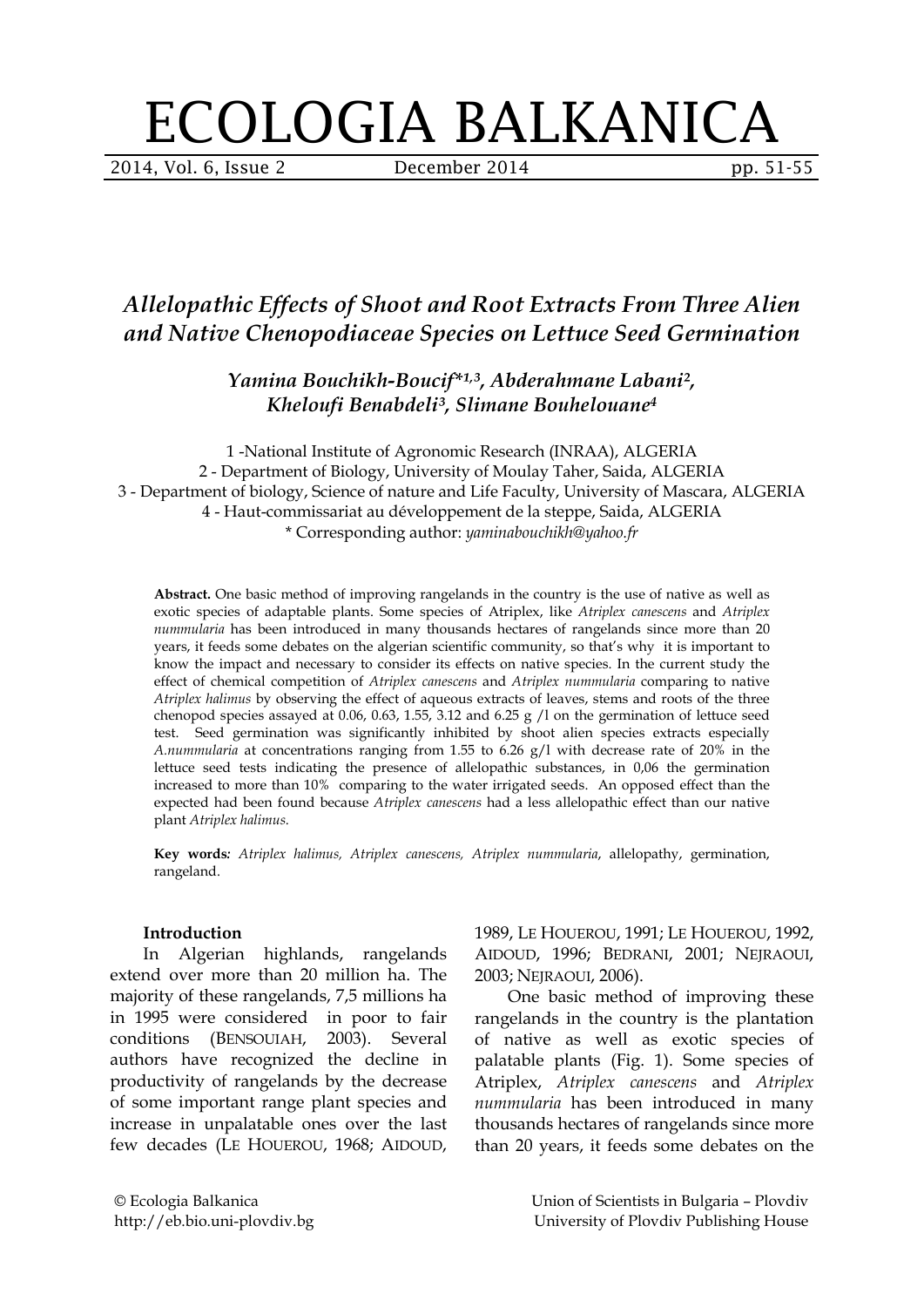# ECOLOGIA BALKANICA

2014, Vol. 6, Issue 2 **December 2014** pp. 51-55

## *Allelopathic Effects of Shoot and Root Extracts From Three Alien and Native Chenopodiaceae Species on Lettuce Seed Germination*

*Yamina Bouchikh-Boucif\*¹, ³, Abderahmane Labani², Kheloufi Benabdeli³, Slimane Bouhelouane4*

1 -National Institute of Agronomic Research (INRAA), ALGERIA 2 - Department of Biology, University of Moulay Taher, Saida, ALGERIA 3 - Department of biology, Science of nature and Life Faculty, University of Mascara, ALGERIA 4 - Haut-commissariat au développement de la steppe, Saida, ALGERIA \* Corresponding author: *yaminabouchikh@yahoo.fr*

**Abstract.** One basic method of improving rangelands in the country is the use of native as well as exotic species of adaptable plants. Some species of Atriplex, like *Atriplex canescens* and *Atriplex nummularia* has been introduced in many thousands hectares of rangelands since more than 20 years, it feeds some debates on the algerian scientific community, so that's why it is important to know the impact and necessary to consider its effects on native species. In the current study the effect of chemical competition of *Atriplex canescens* and *Atriplex nummularia* comparing to native *Atriplex halimus* by observing the effect of aqueous extracts of leaves, stems and roots of the three chenopod species assayed at 0.06, 0.63, 1.55, 3.12 and 6.25 g /l on the germination of lettuce seed test. Seed germination was significantly inhibited by shoot alien species extracts especially *A.nummularia* at concentrations ranging from 1.55 to 6.26 g/l with decrease rate of 20% in the lettuce seed tests indicating the presence of allelopathic substances, in 0,06 the germination increased to more than 10% comparing to the water irrigated seeds. An opposed effect than the expected had been found because *Atriplex canescens* had a less allelopathic effect than our native plant *Atriplex halimus*.

**Key words***: Atriplex halimus, Atriplex canescens, Atriplex nummularia*, allelopathy, germination, rangeland.

#### **Introduction**

In Algerian highlands, rangelands extend over more than 20 million ha. The majority of these rangelands, 7,5 millions ha in 1995 were considered in poor to fair conditions (BENSOUIAH, 2003). Several authors have recognized the decline in productivity of rangelands by the decrease of some important range plant species and increase in unpalatable ones over the last few decades (LE HOUEROU, 1968; AIDOUD,

1989, LE HOUEROU, 1991; LE HOUEROU, 1992, AIDOUD, 1996; BEDRANI, 2001; NEJRAOUI, 2003; NEJRAOUI, 2006).

One basic method of improving these rangelands in the country is the plantation of native as well as exotic species of palatable plants (Fig. 1). Some species of Atriplex, *Atriplex canescens* and *Atriplex nummularia* has been introduced in many thousands hectares of rangelands since more than 20 years, it feeds some debates on the

© Ecologia Balkanica http://eb.bio.uni-plovdiv.bg Union of Scientists in Bulgaria – Plovdiv University of Plovdiv Publishing House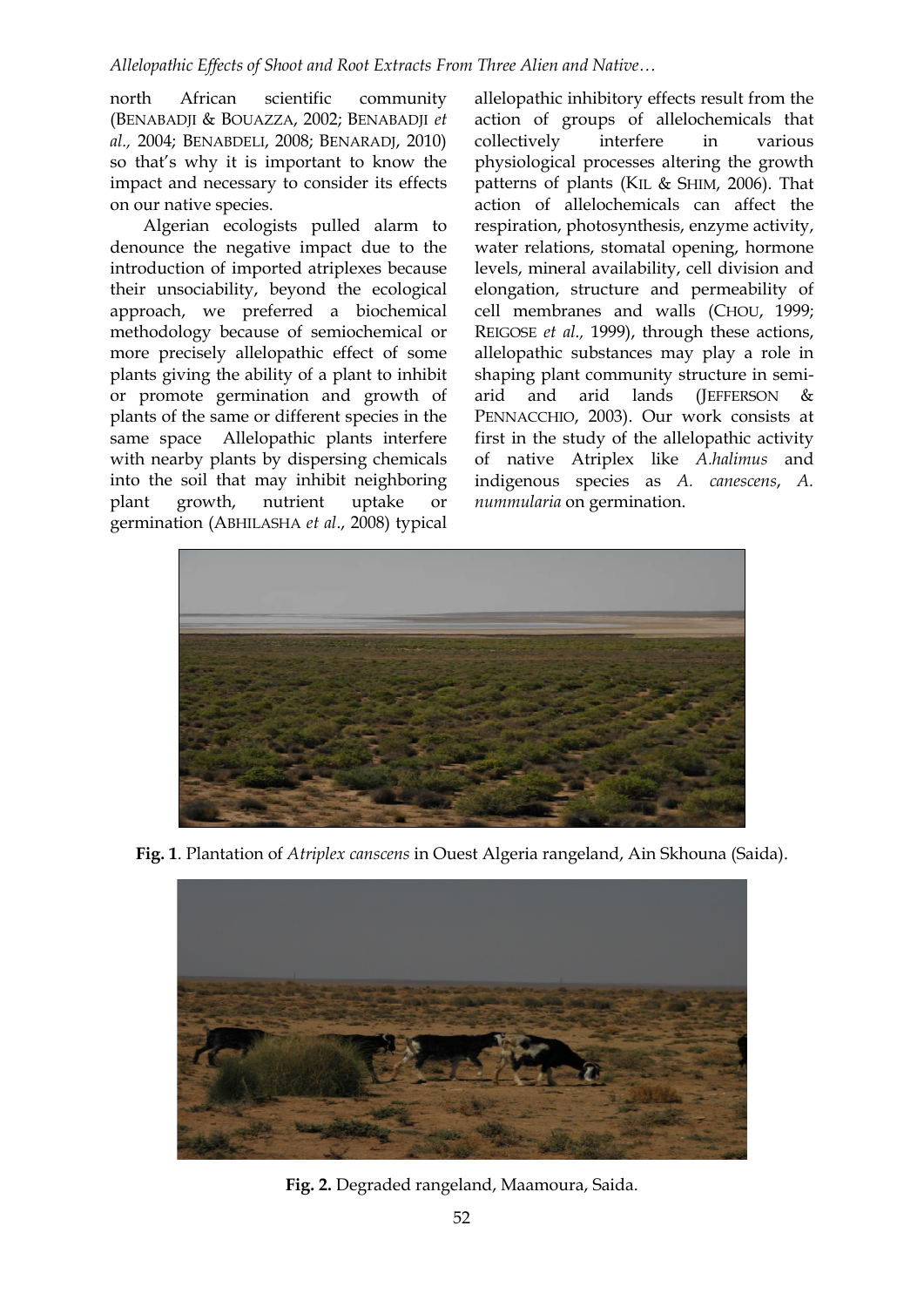#### *Allelopathic Effects of Shoot and Root Extracts From Three Alien and Native…*

north African scientific community (BENABADJI & BOUAZZA, 2002; BENABADJI *et al.,* 2004; BENABDELI, 2008; BENARADJ, 2010) so that's why it is important to know the impact and necessary to consider its effects on our native species.

Algerian ecologists pulled alarm to denounce the negative impact due to the introduction of imported atriplexes because their unsociability, beyond the ecological approach, we preferred a biochemical methodology because of semiochemical or more precisely allelopathic effect of some plants giving the ability of a plant to inhibit or promote germination and growth of plants of the same or different species in the same space Allelopathic plants interfere with nearby plants by dispersing chemicals into the soil that may inhibit neighboring plant growth, nutrient uptake or germination (ABHILASHA *et al*., 2008) typical

allelopathic inhibitory effects result from the action of groups of allelochemicals that collectively interfere in various physiological processes altering the growth patterns of plants (KIL & SHIM, 2006). That action of allelochemicals can affect the respiration, photosynthesis, enzyme activity, water relations, stomatal opening, hormone levels, mineral availability, cell division and elongation, structure and permeability of cell membranes and walls (CHOU, 1999; REIGOSE *et al.,* 1999), through these actions, allelopathic substances may play a role in shaping plant community structure in semiarid and arid lands (JEFFERSON & PENNACCHIO, 2003). Our work consists at first in the study of the allelopathic activity of native Atriplex like *A.halimus* and indigenous species as *A. canescens*, *A. nummularia* on germination.



**Fig. 1**. Plantation of *Atriplex canscens* in Ouest Algeria rangeland, Ain Skhouna (Saida).



**Fig. 2.** Degraded rangeland, Maamoura, Saida.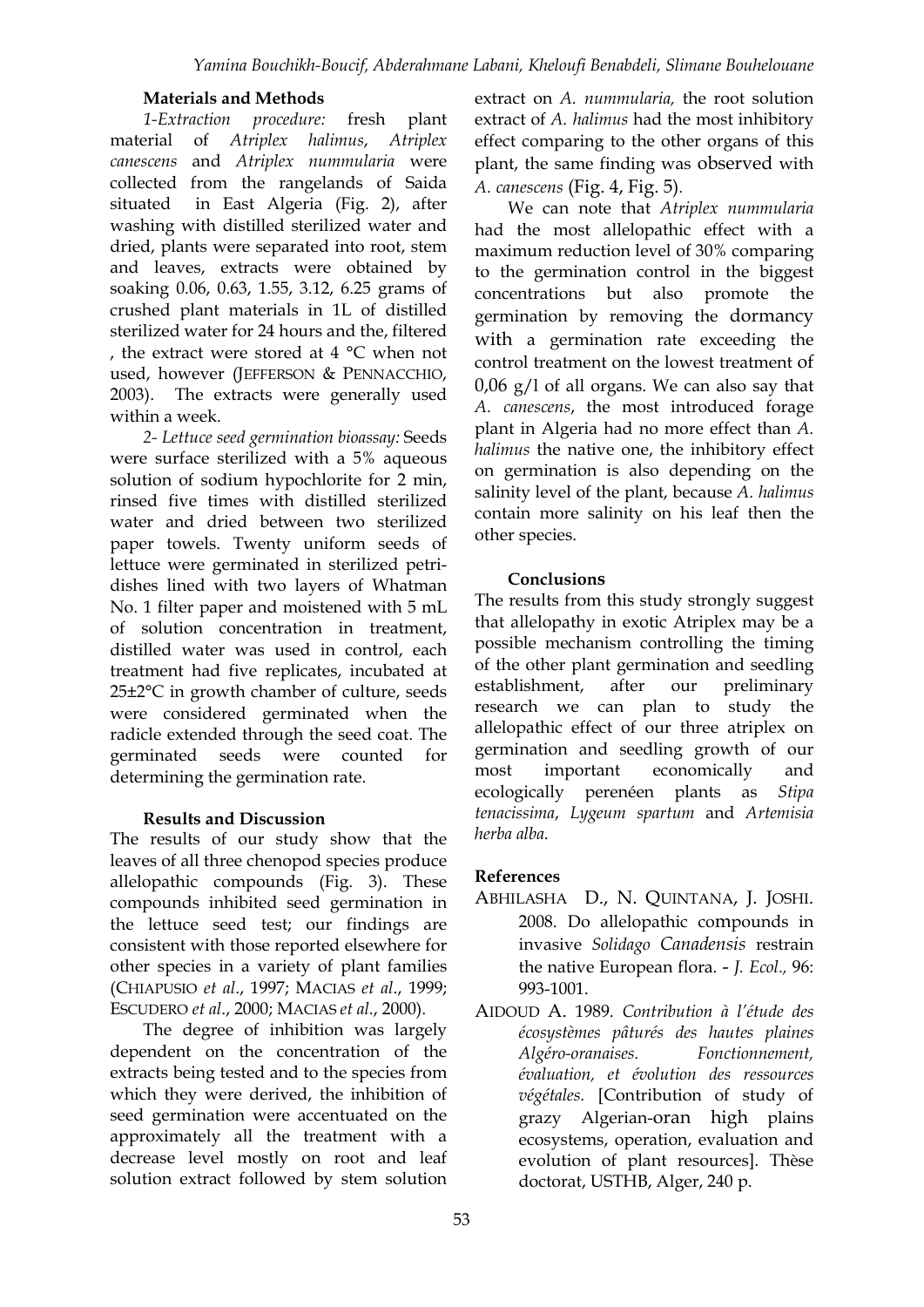#### **Materials and Methods**

*1-Extraction procedure:* fresh plant material of *Atriplex halimus*, *Atriplex canescens* and *Atriplex nummularia* were collected from the rangelands of Saida situated in East Algeria (Fig. 2), after washing with distilled sterilized water and dried, plants were separated into root, stem and leaves, extracts were obtained by soaking 0.06, 0.63, 1.55, 3.12, 6.25 grams of crushed plant materials in 1L of distilled sterilized water for 24 hours and the, filtered , the extract were stored at 4 °C when not used, however (JEFFERSON & PENNACCHIO, 2003). The extracts were generally used within a week.

*2- Lettuce seed germination bioassay:* Seeds were surface sterilized with a 5% aqueous solution of sodium hypochlorite for 2 min, rinsed five times with distilled sterilized water and dried between two sterilized paper towels. Twenty uniform seeds of lettuce were germinated in sterilized petridishes lined with two layers of Whatman No. 1 filter paper and moistened with 5 mL of solution concentration in treatment, distilled water was used in control, each treatment had five replicates, incubated at 25±2°C in growth chamber of culture, seeds were considered germinated when the radicle extended through the seed coat. The germinated seeds were counted for determining the germination rate.

### **Results and Discussion**

The results of our study show that the leaves of all three chenopod species produce allelopathic compounds (Fig. 3). These compounds inhibited seed germination in the lettuce seed test; our findings are consistent with those reported elsewhere for other species in a variety of plant families (CHIAPUSIO *et al*., 1997; MACIAS *et al*., 1999; ESCUDERO *et al*., 2000; MACIAS *et al*., 2000).

The degree of inhibition was largely dependent on the concentration of the extracts being tested and to the species from which they were derived, the inhibition of seed germination were accentuated on the approximately all the treatment with a decrease level mostly on root and leaf solution extract followed by stem solution extract on *A. nummularia,* the root solution extract of *A. halimus* had the most inhibitory effect comparing to the other organs of this plant, the same finding was observed with *A. canescens* (Fig. 4, Fig. 5)*.*

We can note that *Atriplex nummularia* had the most allelopathic effect with a maximum reduction level of 30% comparing to the germination control in the biggest concentrations but also promote the germination by removing the dormancy with a germination rate exceeding the control treatment on the lowest treatment of  $0.06$  g/l of all organs. We can also say that *A. canescens*, the most introduced forage plant in Algeria had no more effect than *A. halimus* the native one, the inhibitory effect on germination is also depending on the salinity level of the plant, because *A. halimus* contain more salinity on his leaf then the other species.

#### **Conclusions**

The results from this study strongly suggest that allelopathy in exotic Atriplex may be a possible mechanism controlling the timing of the other plant germination and seedling establishment, after our preliminary research we can plan to study the allelopathic effect of our three atriplex on germination and seedling growth of our most important economically and ecologically perenéen plants as *Stipa tenacissima*, *Lygeum spartum* and *Artemisia herba alba*.

### **References**

- ABHILASHA D., N. QUINTANA, J. JOSHI. 2008. Do allelopathic compounds in invasive *Solidago Canadensis* restrain the native European flora. - *J. Ecol.,* 96: 993-1001.
- AIDOUD A. 1989. *Contribution à l'étude des écosystèmes pâturés des hautes plaines Algéro-oranaises. Fonctionnement, évaluation, et évolution des ressources végétales.* [Contribution of study of grazy Algerian-oran high plains ecosystems, operation, evaluation and evolution of plant resources]. Thèse doctorat, USTHB, Alger, 240 p.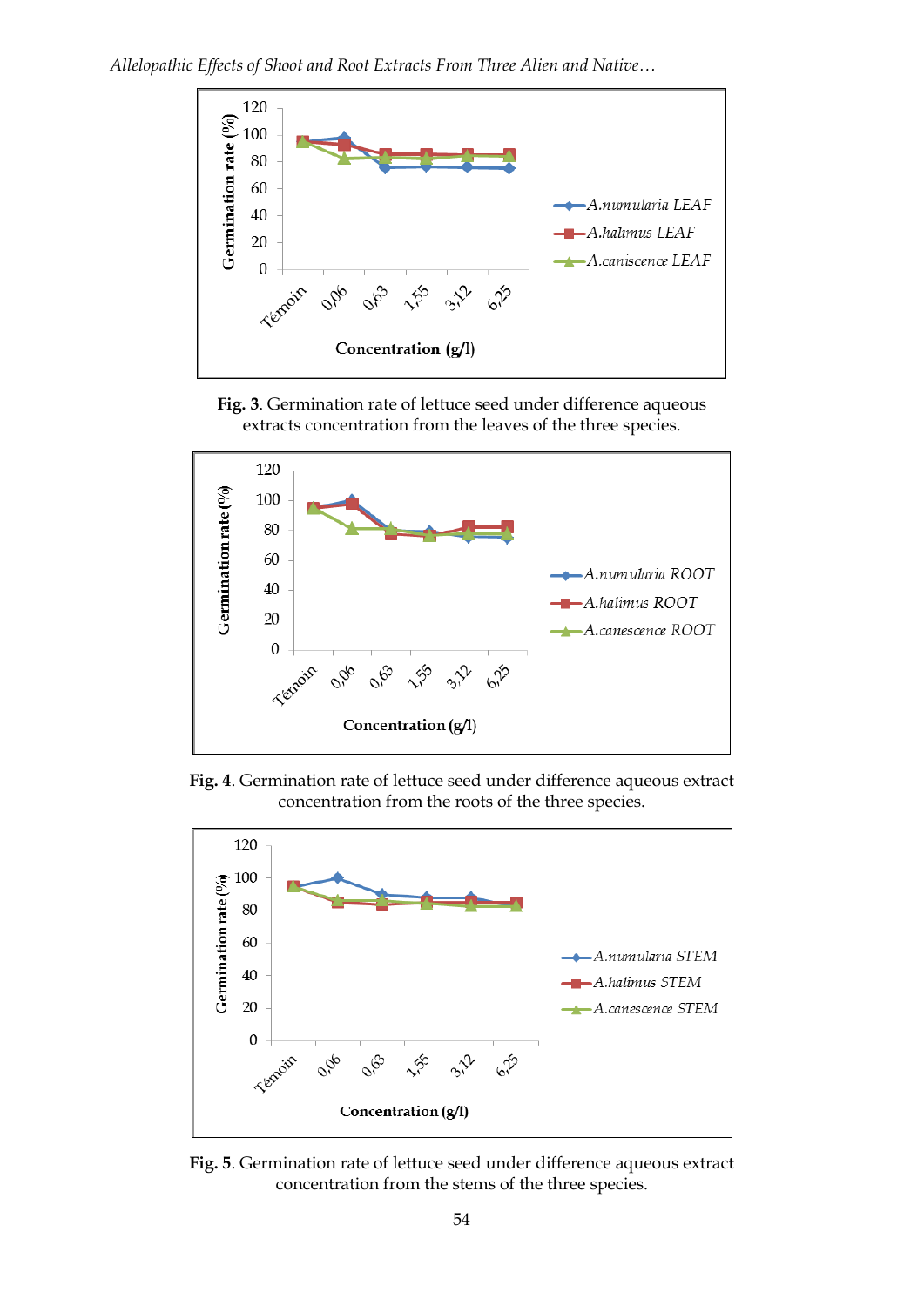![](_page_3_Figure_1.jpeg)

**Fig. 3**. Germination rate of lettuce seed under difference aqueous extracts concentration from the leaves of the three species.

![](_page_3_Figure_3.jpeg)

**Fig. 4**. Germination rate of lettuce seed under difference aqueous extract concentration from the roots of the three species.

![](_page_3_Figure_5.jpeg)

**Fig. 5**. Germination rate of lettuce seed under difference aqueous extract concentration from the stems of the three species.